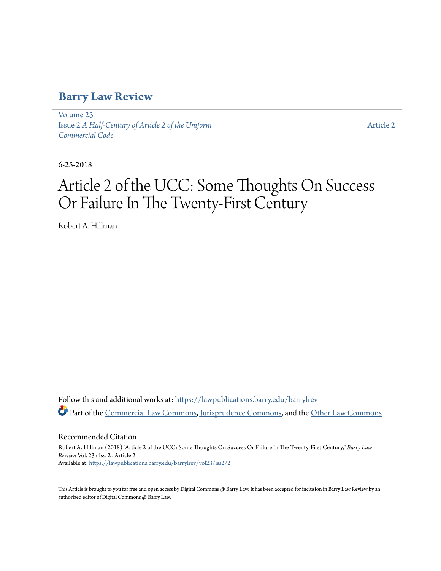# **[Barry Law Review](https://lawpublications.barry.edu/barrylrev?utm_source=lawpublications.barry.edu%2Fbarrylrev%2Fvol23%2Fiss2%2F2&utm_medium=PDF&utm_campaign=PDFCoverPages)**

[Volume 23](https://lawpublications.barry.edu/barrylrev/vol23?utm_source=lawpublications.barry.edu%2Fbarrylrev%2Fvol23%2Fiss2%2F2&utm_medium=PDF&utm_campaign=PDFCoverPages) Issue 2 *[A Half-Century of Article 2 of the Uniform](https://lawpublications.barry.edu/barrylrev/vol23/iss2?utm_source=lawpublications.barry.edu%2Fbarrylrev%2Fvol23%2Fiss2%2F2&utm_medium=PDF&utm_campaign=PDFCoverPages) [Commercial Code](https://lawpublications.barry.edu/barrylrev/vol23/iss2?utm_source=lawpublications.barry.edu%2Fbarrylrev%2Fvol23%2Fiss2%2F2&utm_medium=PDF&utm_campaign=PDFCoverPages)*

[Article 2](https://lawpublications.barry.edu/barrylrev/vol23/iss2/2?utm_source=lawpublications.barry.edu%2Fbarrylrev%2Fvol23%2Fiss2%2F2&utm_medium=PDF&utm_campaign=PDFCoverPages)

6-25-2018

# Article 2 of the UCC: Some Thoughts On Success Or Failure In The Twenty-First Century

Robert A. Hillman

Follow this and additional works at: [https://lawpublications.barry.edu/barrylrev](https://lawpublications.barry.edu/barrylrev?utm_source=lawpublications.barry.edu%2Fbarrylrev%2Fvol23%2Fiss2%2F2&utm_medium=PDF&utm_campaign=PDFCoverPages) Part of the [Commercial Law Commons](http://network.bepress.com/hgg/discipline/586?utm_source=lawpublications.barry.edu%2Fbarrylrev%2Fvol23%2Fiss2%2F2&utm_medium=PDF&utm_campaign=PDFCoverPages), [Jurisprudence Commons,](http://network.bepress.com/hgg/discipline/610?utm_source=lawpublications.barry.edu%2Fbarrylrev%2Fvol23%2Fiss2%2F2&utm_medium=PDF&utm_campaign=PDFCoverPages) and the [Other Law Commons](http://network.bepress.com/hgg/discipline/621?utm_source=lawpublications.barry.edu%2Fbarrylrev%2Fvol23%2Fiss2%2F2&utm_medium=PDF&utm_campaign=PDFCoverPages)

Recommended Citation

Robert A. Hillman (2018) "Article 2 of the UCC: Some Thoughts On Success Or Failure In The Twenty-First Century," *Barry Law Review*: Vol. 23 : Iss. 2 , Article 2. Available at: [https://lawpublications.barry.edu/barrylrev/vol23/iss2/2](https://lawpublications.barry.edu/barrylrev/vol23/iss2/2?utm_source=lawpublications.barry.edu%2Fbarrylrev%2Fvol23%2Fiss2%2F2&utm_medium=PDF&utm_campaign=PDFCoverPages)

This Article is brought to you for free and open access by Digital Commons @ Barry Law. It has been accepted for inclusion in Barry Law Review by an authorized editor of Digital Commons @ Barry Law.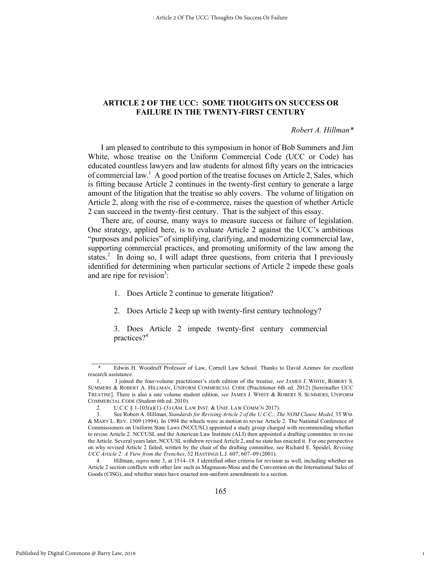## **ARTICLE 2 OF THE UCC: SOME THOUGHTS ON SUCCESS OR FAILURE IN THE TWENTY-FIRST CENTURY**

#### *Robert A. Hillman\**

1

I am pleased to contribute to this symposium in honor of Bob Summers and Jim White, whose treatise on the Uniform Commercial Code (UCC or Code) has educated countless lawyers and law students for almost fifty years on the intricacies of commercial law.<sup>1</sup> A good portion of the treatise focuses on Article 2, Sales, which is fitting because Article 2 continues in the twenty-first century to generate a large amount of the litigation that the treatise so ably covers. The volume of litigation on Article 2, along with the rise of e-commerce, raises the question of whether Article 2 can succeed in the twenty-first century. That is the subject of this essay.

There are, of course, many ways to measure success or failure of legislation. One strategy, applied here, is to evaluate Article 2 against the UCC's ambitious "purposes and policies" of simplifying, clarifying, and modernizing commercial law, supporting commercial practices, and promoting uniformity of the law among the states.<sup>2</sup> In doing so, I will adapt three questions, from criteria that I previously identified for determining when particular sections of Article 2 impede these goals and are ripe for revision<sup>3</sup>:

- 1. Does Article 2 continue to generate litigation?
- 2. Does Article 2 keep up with twenty-first century technology?

3. Does Article 2 impede twenty-first century commercial practices?<sup>4</sup>

Edwin H. Woodruff Professor of Law, Cornell Law School. Thanks to David Azimov for excellent research assistance.

<sup>1.</sup> I joined the four-volume practitioner's sixth edition of the treatise, *see* JAMES J. WHITE, ROBERT S. SUMMERS & ROBERT A. HILLMAN, UNIFORM COMMERCIAL CODE (Practitioner 6th ed. 2012) [hereinafter UCC TREATISE]. There is also a one volume student edition, *see* JAMES J. WHITE & ROBERT S. SUMMERS, UNIFORM COMMERCIAL CODE (Student 6th ed. 2010).

<sup>2.</sup> U.C.C § 1-103(a)(1)–(3) (AM. LAW INST. & UNIF. LAW COMM'N 2017).

<sup>3.</sup> See Robert A. Hillman, *Standards for Revising Article 2 of the U.C.C.: The NOM Clause Model,* 35 WM. & MARY L. REV. 1509 (1994). In 1994 the wheels were in motion to revise Article 2. The National Conference of Commissioners on Uniform State Laws (NCCUSL) appointed a study group charged with recommending whether to revise Article 2. NCCUSL and the American Law Institute (ALI) then appointed a drafting committee to revise the Article. Several years later, NCCUSL withdrew revised Article 2, and no state has enacted it. For one perspective on why revised Article 2 failed, written by the chair of the drafting committee, see Richard E. Speidel, *Revising UCC Article 2: A View from the Trenches*, 52 HASTINGS L.J. 607, 607–09 (2001).

<sup>4.</sup> Hillman, *supra* note 3, at 1514–18. I identified other criteria for revision as well, including whether an Article 2 section conflicts with other law such as Magnuson-Moss and the Convention on the International Sales of Goods (CISG), and whether states have enacted non-uniform amendments to a section.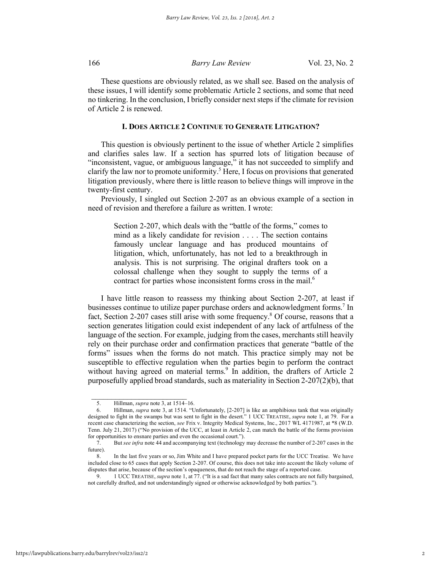These questions are obviously related, as we shall see. Based on the analysis of these issues, I will identify some problematic Article 2 sections, and some that need no tinkering. In the conclusion, I briefly consider next steps if the climate for revision of Article 2 is renewed.

#### **I. DOES ARTICLE 2 CONTINUE TO GENERATE LITIGATION?**

This question is obviously pertinent to the issue of whether Article 2 simplifies and clarifies sales law. If a section has spurred lots of litigation because of "inconsistent, vague, or ambiguous language," it has not succeeded to simplify and clarify the law nor to promote uniformity.<sup>5</sup> Here, I focus on provisions that generated litigation previously, where there is little reason to believe things will improve in the twenty-first century.

Previously, I singled out Section 2-207 as an obvious example of a section in need of revision and therefore a failure as written. I wrote:

Section 2-207, which deals with the "battle of the forms," comes to mind as a likely candidate for revision . . . . The section contains famously unclear language and has produced mountains of litigation, which, unfortunately, has not led to a breakthrough in analysis. This is not surprising. The original drafters took on a colossal challenge when they sought to supply the terms of a contract for parties whose inconsistent forms cross in the mail.<sup>6</sup>

I have little reason to reassess my thinking about Section 2-207, at least if businesses continue to utilize paper purchase orders and acknowledgment forms.<sup>7</sup> In fact, Section 2-207 cases still arise with some frequency.<sup>8</sup> Of course, reasons that a section generates litigation could exist independent of any lack of artfulness of the language of the section. For example, judging from the cases, merchants still heavily rely on their purchase order and confirmation practices that generate "battle of the forms" issues when the forms do not match. This practice simply may not be susceptible to effective regulation when the parties begin to perform the contract without having agreed on material terms. $9$  In addition, the drafters of Article 2 purposefully applied broad standards, such as materiality in Section 2-207(2)(b), that

 $\frac{1}{2}$  ,  $\frac{1}{2}$  ,  $\frac{1}{2}$  ,  $\frac{1}{2}$  ,  $\frac{1}{2}$  ,  $\frac{1}{2}$  ,  $\frac{1}{2}$  ,  $\frac{1}{2}$  ,  $\frac{1}{2}$  ,  $\frac{1}{2}$  ,  $\frac{1}{2}$  ,  $\frac{1}{2}$  ,  $\frac{1}{2}$  ,  $\frac{1}{2}$  ,  $\frac{1}{2}$  ,  $\frac{1}{2}$  ,  $\frac{1}{2}$  ,  $\frac{1}{2}$  ,  $\frac{1$ 

<sup>5.</sup> Hillman, *supra* note 3, at 1514–16.

<sup>6.</sup> Hillman, *supra* note 3, at 1514. "Unfortunately, [2-207] is like an amphibious tank that was originally designed to fight in the swamps but was sent to fight in the desert." 1 UCC TREATISE, *supra* note 1, at 79. For a recent case characterizing the section, *see* Frix v. Integrity Medical Systems, Inc., 2017 WL 4171987, at \*8 (W.D. Tenn. July 21, 2017) ("No provision of the UCC, at least in Article 2, can match the battle of the forms provision for opportunities to ensnare parties and even the occasional court.").

<sup>7.</sup> But *see infra* note 44 and accompanying text (technology may decrease the number of 2-207 cases in the future).

<sup>8.</sup> In the last five years or so, Jim White and I have prepared pocket parts for the UCC Treatise. We have included close to 65 cases that apply Section 2-207. Of course, this does not take into account the likely volume of disputes that arise, because of the section's opaqueness, that do not reach the stage of a reported case.

<sup>9.</sup> 1 UCC TREATISE, *supra* note 1, at 77. ("It is a sad fact that many sales contracts are not fully bargained, not carefully drafted, and not understandingly signed or otherwise acknowledged by both parties.").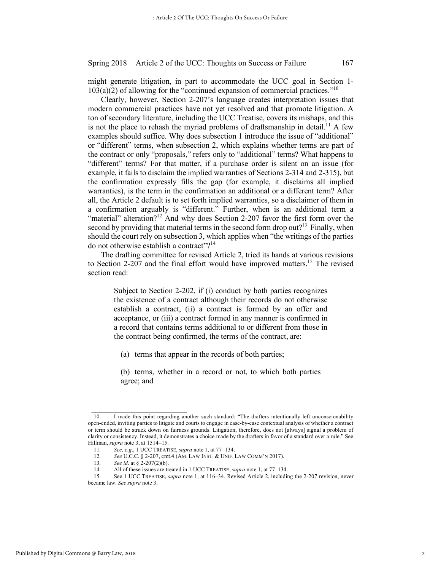might generate litigation, in part to accommodate the UCC goal in Section 1-  $103(a)(2)$  of allowing for the "continued expansion of commercial practices."<sup>10</sup>

Clearly, however, Section 2-207's language creates interpretation issues that modern commercial practices have not yet resolved and that promote litigation. A ton of secondary literature, including the UCC Treatise, covers its mishaps, and this is not the place to rehash the myriad problems of draftsmanship in detail.<sup>11</sup> A few examples should suffice. Why does subsection 1 introduce the issue of "additional" or "different" terms, when subsection 2, which explains whether terms are part of the contract or only "proposals," refers only to "additional" terms? What happens to "different" terms? For that matter, if a purchase order is silent on an issue (for example, it fails to disclaim the implied warranties of Sections 2-314 and 2-315), but the confirmation expressly fills the gap (for example, it disclaims all implied warranties), is the term in the confirmation an additional or a different term? After all, the Article 2 default is to set forth implied warranties, so a disclaimer of them in a confirmation arguably is "different." Further, when is an additional term a "material" alteration?<sup>12</sup> And why does Section 2-207 favor the first form over the second by providing that material terms in the second form drop out?<sup>13</sup> Finally, when should the court rely on subsection 3, which applies when "the writings of the parties do not otherwise establish a contract"?<sup>14</sup>

The drafting committee for revised Article 2, tried its hands at various revisions to Section 2-207 and the final effort would have improved matters.<sup>15</sup> The revised section read:

Subject to Section 2-202, if (i) conduct by both parties recognizes the existence of a contract although their records do not otherwise establish a contract, (ii) a contract is formed by an offer and acceptance, or (iii) a contract formed in any manner is confirmed in a record that contains terms additional to or different from those in the contract being confirmed, the terms of the contract, are:

(a) terms that appear in the records of both parties;

(b) terms, whether in a record or not, to which both parties agree; and

<sup>10.</sup> I made this point regarding another such standard: "The drafters intentionally left unconscionability open-ended, inviting parties to litigate and courts to engage in case-by-case contextual analysis of whether a contract or term should be struck down on fairness grounds. Litigation, therefore, does not [always] signal a problem of clarity or consistency. Instead, it demonstrates a choice made by the drafters in favor of a standard over a rule." See Hillman, *supra* note 3, at 1514–15.

<sup>11</sup>*. See, e.g*., 1 UCC TREATISE, *supra* note 1, at 77–134.

<sup>12</sup>*. See* U.C.C. § 2-207, cmt.4 (AM. LAW INST. & UNIF. LAW COMM'N 2017).

<sup>13</sup>*. See id*. at § 2-207(2)(b).

<sup>14.</sup> All of these issues are treated in 1 UCC TREATISE, *supra* note 1, at 77–134.

<sup>15.</sup> See 1 UCC TREATISE, *supra* note 1, at 116–34. Revised Article 2, including the 2-207 revision, never became law. *See supra* note 3.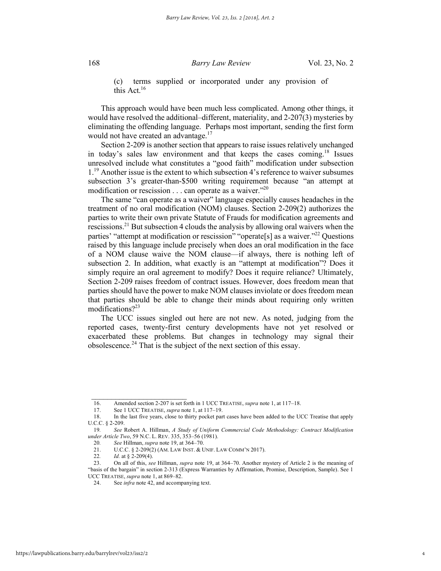terms supplied or incorporated under any provision of this Act.16

This approach would have been much less complicated. Among other things, it would have resolved the additional–different, materiality, and 2-207(3) mysteries by eliminating the offending language. Perhaps most important, sending the first form would not have created an advantage.<sup>17</sup>

Section 2-209 is another section that appears to raise issues relatively unchanged in today's sales law environment and that keeps the cases coming.18 Issues unresolved include what constitutes a "good faith" modification under subsection 1<sup>.19</sup> Another issue is the extent to which subsection 4's reference to waiver subsumes subsection 3's greater-than-\$500 writing requirement because "an attempt at modification or rescission . . . can operate as a waiver.<sup>"20</sup>

The same "can operate as a waiver" language especially causes headaches in the treatment of no oral modification (NOM) clauses. Section 2-209(2) authorizes the parties to write their own private Statute of Frauds for modification agreements and rescissions.21 But subsection 4 clouds the analysis by allowing oral waivers when the parties' "attempt at modification or rescission" "operate<sup>[s]</sup> as a waiver."<sup>22</sup> Questions raised by this language include precisely when does an oral modification in the face of a NOM clause waive the NOM clause—if always, there is nothing left of subsection 2. In addition, what exactly is an "attempt at modification"? Does it simply require an oral agreement to modify? Does it require reliance? Ultimately, Section 2-209 raises freedom of contract issues. However, does freedom mean that parties should have the power to make NOM clauses inviolate or does freedom mean that parties should be able to change their minds about requiring only written modifications? $2^{23}$ 

The UCC issues singled out here are not new. As noted, judging from the reported cases, twenty-first century developments have not yet resolved or exacerbated these problems. But changes in technology may signal their obsolescence.<sup>24</sup> That is the subject of the next section of this essay.

 $\frac{1}{2}$  ,  $\frac{1}{2}$  ,  $\frac{1}{2}$  ,  $\frac{1}{2}$  ,  $\frac{1}{2}$  ,  $\frac{1}{2}$  ,  $\frac{1}{2}$  ,  $\frac{1}{2}$  ,  $\frac{1}{2}$  ,  $\frac{1}{2}$  ,  $\frac{1}{2}$  ,  $\frac{1}{2}$  ,  $\frac{1}{2}$  ,  $\frac{1}{2}$  ,  $\frac{1}{2}$  ,  $\frac{1}{2}$  ,  $\frac{1}{2}$  ,  $\frac{1}{2}$  ,  $\frac{1$ 

<sup>16.</sup> Amended section 2-207 is set forth in 1 UCC TREATISE, *supra* note 1, at 117–18.

<sup>17.</sup> See 1 UCC TREATISE, *supra* note 1, at 117–19.

<sup>18.</sup> In the last five years, close to thirty pocket part cases have been added to the UCC Treatise that apply U.C.C. § 2-209.

<sup>19</sup>*. See* Robert A. Hillman, *A Study of Uniform Commercial Code Methodology: Contract Modification under Article Two*, 59 N.C. L. REV. 335, 353–56 (1981).

<sup>20</sup>*. See* Hillman, *supra* note 19, at 364–70.

<sup>21.</sup> U.C.C. § 2-209(2) (AM. LAW INST. & UNIF. LAW COMM'N 2017).

<sup>22</sup>*. Id.* at § 2-209(4).<br>23. On all of this, se

<sup>23.</sup> On all of this, *see* Hillman, *supra* note 19, at 364–70. Another mystery of Article 2 is the meaning of "basis of the bargain" in section 2-313 (Express Warranties by Affirmation, Promise, Description, Sample). See 1 UCC TREATISE, *supra* note 1, at 869–82.

<sup>24.</sup> See *infra* note 42, and accompanying text.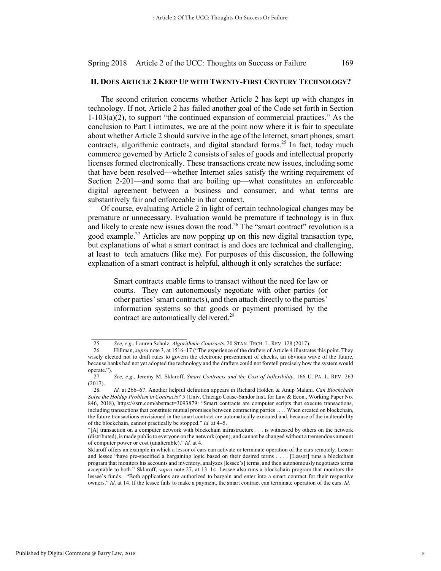#### **II. DOES ARTICLE 2 KEEP UP WITH TWENTY-FIRST CENTURY TECHNOLOGY?**

The second criterion concerns whether Article 2 has kept up with changes in technology. If not, Article 2 has failed another goal of the Code set forth in Section 1-103(a)(2), to support "the continued expansion of commercial practices." As the conclusion to Part I intimates, we are at the point now where it is fair to speculate about whether Article 2 should survive in the age of the Internet, smart phones, smart contracts, algorithmic contracts, and digital standard forms.<sup>25</sup> In fact, today much commerce governed by Article 2 consists of sales of goods and intellectual property licenses formed electronically. These transactions create new issues, including some that have been resolved—whether Internet sales satisfy the writing requirement of Section 2-201—and some that are boiling up—what constitutes an enforceable digital agreement between a business and consumer, and what terms are substantively fair and enforceable in that context.

Of course, evaluating Article 2 in light of certain technological changes may be premature or unnecessary. Evaluation would be premature if technology is in flux and likely to create new issues down the road.<sup>26</sup> The "smart contract" revolution is a good example.<sup>27</sup> Articles are now popping up on this new digital transaction type, but explanations of what a smart contract is and does are technical and challenging, at least to tech amatuers (like me). For purposes of this discussion, the following explanation of a smart contract is helpful, although it only scratches the surface:

Smart contracts enable firms to transact without the need for law or courts. They can autonomously negotiate with other parties (or other parties' smart contracts), and then attach directly to the parties' information systems so that goods or payment promised by the contract are automatically delivered.<sup>28</sup>

<sup>25</sup>*. See, e.g*., Lauren Scholz, *Algorithmic Contracts*, 20 STAN. TECH. L. REV. 128 (2017).

<sup>26.</sup> Hillman, *supra* note 3, at 1516–17 ("The experience of the drafters of Article 4 illustrates this point. They wisely elected not to draft rules to govern the electronic presentment of checks, an obvious wave of the future, because banks had not yet adopted the technology and the drafters could not foretell precisely how the system would operate.").

<sup>27</sup>*. See, e.g*., Jeremy M. Sklaroff, *Smart Contracts and the Cost of Inflexibility*, 166 U. PA. L. REV. 263 (2017).

<sup>28</sup>*. Id.* at 266–67. Another helpful definition appears in Richard Holden & Anup Malani*, Can Blockchain Solve the Holdup Problem in Contracts?* 5 (Univ. Chicago Coase-Sandor Inst. for Law & Econ., Working Paper No. 846, 2018), https://ssrn.com/abstract=3093879: "Smart contracts are computer scripts that execute transactions, including transactions that constitute mutual promises between contracting parties . . . . When created on blockchain, the future transactions envisioned in the smart contract are automatically executed and, because of the inalterability of the blockchain, cannot practically be stopped." *Id.* at 4–5.

<sup>&</sup>quot;[A] transaction on a computer network with blockchain infrastructure . . . is witnessed by others on the network (distributed), is made public to everyone on the network (open), and cannot be changed without a tremendous amount of computer power or cost (unalterable)." *Id.* at 4.

Sklaroff offers an example in which a lessor of cars can activate or terminate operation of the cars remotely. Lessor and lessee "have pre-specified a bargaining logic based on their desired terms . . . . [Lessor] runs a blockchain program that monitors his accounts and inventory, analyzes [lessee's] terms, and then autonomously negotiates terms acceptable to both." Sklaroff, *supra* note 27, at 13–14. Lessee also runs a blockchain program that monitors the lessee's funds. "Both applications are authorized to bargain and enter into a smart contract for their respective owners." *Id.* at 14. If the lessee fails to make a payment, the smart contract can terminate operation of the cars. *Id.*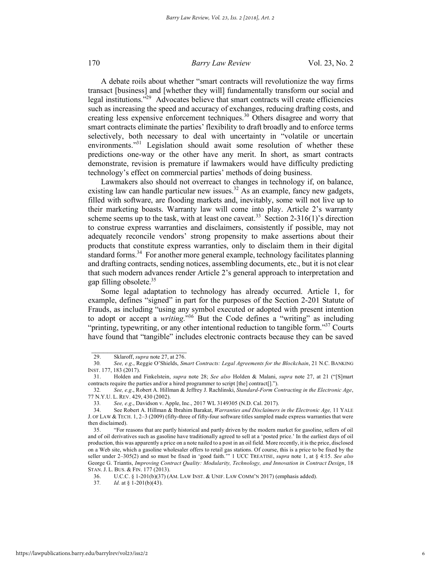A debate roils about whether "smart contracts will revolutionize the way firms transact [business] and [whether they will] fundamentally transform our social and legal institutions. $\frac{1}{2}$ <sup>29</sup> Advocates believe that smart contracts will create efficiencies such as increasing the speed and accuracy of exchanges, reducing drafting costs, and creating less expensive enforcement techniques.<sup>30</sup> Others disagree and worry that smart contracts eliminate the parties' flexibility to draft broadly and to enforce terms selectively, both necessary to deal with uncertainty in "volatile or uncertain environments."<sup>31</sup> Legislation should await some resolution of whether these predictions one-way or the other have any merit. In short, as smart contracts demonstrate, revision is premature if lawmakers would have difficulty predicting technology's effect on commercial parties' methods of doing business.

Lawmakers also should not overreact to changes in technology if, on balance, existing law can handle particular new issues.<sup>32</sup> As an example, fancy new gadgets, filled with software, are flooding markets and, inevitably, some will not live up to their marketing boasts. Warranty law will come into play. Article 2's warranty scheme seems up to the task, with at least one caveat.<sup>33</sup> Section 2-316(1)'s direction to construe express warranties and disclaimers, consistently if possible, may not adequately reconcile vendors' strong propensity to make assertions about their products that constitute express warranties, only to disclaim them in their digital standard forms.<sup>34</sup> For another more general example, technology facilitates planning and drafting contracts, sending notices, assembling documents, etc., but it is not clear that such modern advances render Article 2's general approach to interpretation and gap filling obsolete. $35$ 

Some legal adaptation to technology has already occurred. Article 1, for example, defines "signed" in part for the purposes of the Section 2-201 Statute of Frauds, as including "using any symbol executed or adopted with present intention to adopt or accept a *writing*."36 But the Code defines a "writing" as including "printing, typewriting, or any other intentional reduction to tangible form." $37$  Courts have found that "tangible" includes electronic contracts because they can be saved

 $\mathcal{L}_\text{max}$ 29. Sklaroff, *supra* note 27, at 276.

<sup>30</sup>*. See, e.g*., Reggie O'Shields, *Smart Contracts: Legal Agreements for the Blockchain*, 21 N.C. BANKING INST. 177, 183 (2017).

<sup>31.</sup> Holden and Finkelstein, *supra* note 28; *See also* Holden & Malani, *supra* note 27, at 21 ("[S]mart contracts require the parties and/or a hired programmer to script [the] contract[].").

<sup>32</sup>*. See, e.g*., Robert A. Hillman & Jeffrey J. Rachlinski, *Standard-Form Contracting in the Electronic Age*, 77 N.Y.U. L. REV. 429, 430 (2002).

<sup>33</sup>*. See, e.g*., Davidson v. Apple, Inc., 2017 WL 3149305 (N.D. Cal. 2017).

<sup>34.</sup> See Robert A. Hillman & Ibrahim Barakat, *Warranties and Disclaimers in the Electronic Age,* 11 YALE J. OF LAW & TECH. 1, 2–3 (2009) (fifty-three of fifty-four software titles sampled made express warranties that were then disclaimed).

<sup>35.</sup> "For reasons that are partly historical and partly driven by the modern market for gasoline, sellers of oil and of oil derivatives such as gasoline have traditionally agreed to sell at a 'posted price.' In the earliest days of oil production, this was apparently a price on a note nailed to a post in an oil field. More recently, it is the price, disclosed on a Web site, which a gasoline wholesaler offers to retail gas stations. Of course, this is a price to be fixed by the seller under 2–305(2) and so must be fixed in 'good faith.'" 1 UCC TREATISE, *supra* note 1, at § 4:15. *See also* George G. Triantis, *Improving Contract Quality: Modularity, Technology, and Innovation in Contract Design*, 18 STAN. J. L. BUS. & FIN. 177 (2013).<br>36. U.C.C. § 1-201(b)(37) (

<sup>36.</sup> U.C.C. § 1-201(b)(37) (AM. LAW INST. & UNIF. LAW COMM'N 2017) (emphasis added).<br>37 Id at \$ 1-201(b)(43)

*Id.* at § 1-201(b)(43).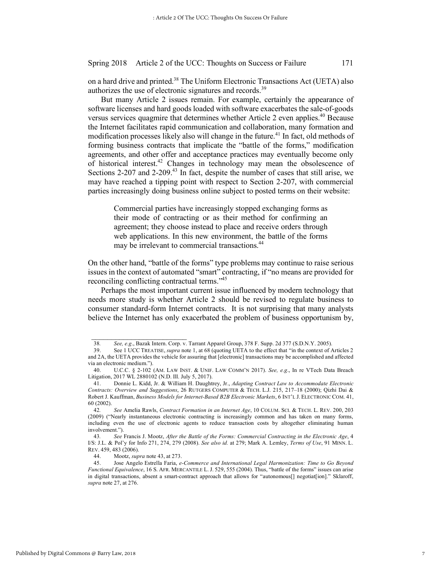on a hard drive and printed.38 The Uniform Electronic Transactions Act (UETA) also authorizes the use of electronic signatures and records.<sup>39</sup>

But many Article 2 issues remain. For example, certainly the appearance of software licenses and hard goods loaded with software exacerbates the sale-of-goods versus services quagmire that determines whether Article 2 even applies.<sup>40</sup> Because the Internet facilitates rapid communication and collaboration, many formation and modification processes likely also will change in the future.<sup>41</sup> In fact, old methods of forming business contracts that implicate the "battle of the forms," modification agreements, and other offer and acceptance practices may eventually become only of historical interest.42 Changes in technology may mean the obsolescence of Sections 2-207 and 2-209.<sup>43</sup> In fact, despite the number of cases that still arise, we may have reached a tipping point with respect to Section 2-207, with commercial parties increasingly doing business online subject to posted terms on their website:

Commercial parties have increasingly stopped exchanging forms as their mode of contracting or as their method for confirming an agreement; they choose instead to place and receive orders through web applications. In this new environment, the battle of the forms may be irrelevant to commercial transactions.<sup>44</sup>

On the other hand, "battle of the forms" type problems may continue to raise serious issues in the context of automated "smart" contracting, if "no means are provided for reconciling conflicting contractual terms."45

Perhaps the most important current issue influenced by modern technology that needs more study is whether Article 2 should be revised to regulate business to consumer standard-form Internet contracts. It is not surprising that many analysts believe the Internet has only exacerbated the problem of business opportunism by,

44. Mootz, *supra* note 43, at 273.<br>45. Jose Angelo Estrella Faria, *e* 

<sup>38</sup>*. See, e.g*., Bazak Intern. Corp. v. Tarrant Apparel Group, 378 F. Supp. 2d 377 (S.D.N.Y. 2005).

<sup>39.</sup> See 1 UCC TREATISE, *supra* note 1, at 68 (quoting UETA to the effect that "in the context of Articles 2 and 2A, the UETA provides the vehicle for assuring that [electronic] transactions may be accomplished and affected via an electronic medium.").

<sup>40.</sup> U.C.C. § 2-102 (AM. LAW INST. & UNIF. LAW COMM'N 2017). *See, e.g*., In re VTech Data Breach Litigation, 2017 WL 2880102 (N.D. Ill. July 5, 2017).

<sup>41.</sup> Donnie L. Kidd, Jr. & William H. Daughtrey, Jr., *Adapting Contract Law to Accommodate Electronic Contracts: Overview and Suggestions*, 26 RUTGERS COMPUTER & TECH. L.J. 215, 217–18 (2000); Qizhi Dai & Robert J. Kauffman, *Business Models for Internet-Based B2B Electronic Markets*, 6 INT'L J. ELECTRONIC COM. 41, 60 (2002).

<sup>42</sup>*. See* Amelia Rawls, *Contract Formation in an Internet Age*, 10 COLUM. SCI. & TECH. L. REV. 200, 203 (2009) ("Nearly instantaneous electronic contracting is increasingly common and has taken on many forms, including even the use of electronic agents to reduce transaction costs by altogether eliminating human involvement.").

<sup>43</sup>*. See* Francis J. Mootz, *After the Battle of the Forms: Commercial Contracting in the Electronic Age*, 4 I/S: J.L. & Pol'y for Info 271, 274, 279 (2008). *See also id.* at 279; Mark A. Lemley, *Terms of Use*, 91 MINN. L. REV. 459, 483 (2006).

<sup>45.</sup> Jose Angelo Estrella Faria, *e-Commerce and International Legal Harmonization: Time to Go Beyond Functional Equivalence*, 16 S. AFR. MERCANTILE L. J. 529, 555 (2004). Thus, "battle of the forms" issues can arise in digital transactions, absent a smart-contract approach that allows for "autonomous[] negotiat[ion]." Sklaroff, *supra* note 27, at 276.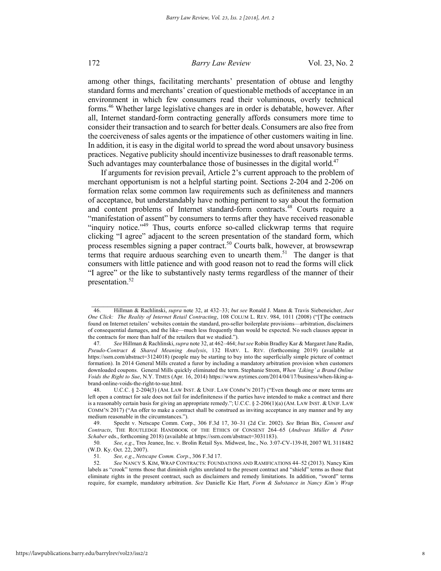among other things, facilitating merchants' presentation of obtuse and lengthy standard forms and merchants' creation of questionable methods of acceptance in an environment in which few consumers read their voluminous, overly technical forms.46 Whether large legislative changes are in order is debatable, however. After all, Internet standard-form contracting generally affords consumers more time to consider their transaction and to search for better deals. Consumers are also free from the coerciveness of sales agents or the impatience of other customers waiting in line. In addition, it is easy in the digital world to spread the word about unsavory business practices. Negative publicity should incentivize businesses to draft reasonable terms. Such advantages may counterbalance those of businesses in the digital world.<sup>47</sup>

If arguments for revision prevail, Article 2's current approach to the problem of merchant opportunism is not a helpful starting point. Sections 2-204 and 2-206 on formation relax some common law requirements such as definiteness and manners of acceptance, but understandably have nothing pertinent to say about the formation and content problems of Internet standard-form contracts.<sup>48</sup> Courts require a "manifestation of assent" by consumers to terms after they have received reasonable "inquiry notice."<sup>49</sup> Thus, courts enforce so-called clickwrap terms that require clicking "I agree" adjacent to the screen presentation of the standard form, which process resembles signing a paper contract.50 Courts balk, however, at browsewrap terms that require arduous searching even to unearth them.<sup>51</sup> The danger is that consumers with little patience and with good reason not to read the forms will click "I agree" or the like to substantively nasty terms regardless of the manner of their presentation.<sup>52</sup>

 $\frac{1}{2}$  ,  $\frac{1}{2}$  ,  $\frac{1}{2}$  ,  $\frac{1}{2}$  ,  $\frac{1}{2}$  ,  $\frac{1}{2}$  ,  $\frac{1}{2}$  ,  $\frac{1}{2}$  ,  $\frac{1}{2}$  ,  $\frac{1}{2}$  ,  $\frac{1}{2}$  ,  $\frac{1}{2}$  ,  $\frac{1}{2}$  ,  $\frac{1}{2}$  ,  $\frac{1}{2}$  ,  $\frac{1}{2}$  ,  $\frac{1}{2}$  ,  $\frac{1}{2}$  ,  $\frac{1$ 

<sup>46.</sup> Hillman & Rachlinski, *supra* note 32, at 432–33; *but see* Ronald J. Mann & Travis Siebeneicher, *Just One Click: The Reality of Internet Retail Contracting*, 108 COLUM L. REV. 984, 1011 (2008) ("[T]he contracts found on Internet retailers' websites contain the standard, pro-seller boilerplate provisions—arbitration, disclaimers of consequential damages, and the like—much less frequently than would be expected. No such clauses appear in the contracts for more than half of the retailers that we studied.").

<sup>47</sup>*. See* Hillman & Rachlinski, *supra* note 32, at 462–464; *but see* Robin Bradley Kar & Margaret Jane Radin, *Pseudo-Contract & Shared Meaning Analysis*, 132 HARV. L. REV. (forthcoming 2019) (available at https://ssrn.com/abstract=3124018) (people may be starting to buy into the superficially simple picture of contract formation). In 2014 General Mills created a furor by including a mandatory arbitration provision when customers downloaded coupons. General Mills quickly eliminated the term. Stephanie Strom, *When 'Liking' a Brand Online Voids the Right to Sue*, N.Y. TIMES (Apr. 16, 2014) https://www.nytimes.com/2014/04/17/business/when-liking-abrand-online-voids-the-right-to-sue.html.

<sup>48.</sup> U.C.C. § 2-204(3) (AM. LAW INST. & UNIF. LAW COMM'N 2017) ("Even though one or more terms are left open a contract for sale does not fail for indefiniteness if the parties have intended to make a contract and there is a reasonably certain basis for giving an appropriate remedy."; U.C.C. § 2-206(1)(a) (AM. LAW INST. & UNIF. LAW COMM'N 2017) ("An offer to make a contract shall be construed as inviting acceptance in any manner and by any medium reasonable in the circumstances.").

<sup>49.</sup> Specht v. Netscape Comm. Corp., 306 F.3d 17, 30–31 (2d Cir. 2002). *See* Brian Bix, *Consent and Contracts*, THE ROUTLEDGE HANDBOOK OF THE ETHICS OF CONSENT 264–65 (*Andreas Müller & Peter Schaber* eds., forthcoming 2018) (available at https://ssrn.com/abstract=3031183).

<sup>50</sup>*. See, e.g*., Tres Jeanee, Inc. v. Brolin Retail Sys. Midwest, Inc., No. 3:07-CV-139-H, 2007 WL 3118482 (W.D. Ky. Oct. 22, 2007).

<sup>51</sup>*. See, e.g*., *Netscape Comm. Corp*., 306 F.3d 17.

<sup>52</sup>*. See* NANCY S. KIM, WRAP CONTRACTS: FOUNDATIONS AND RAMIFICATIONS 44–52 (2013). Nancy Kim labels as "crook" terms those that diminish rights unrelated to the present contract and "shield" terms as those that eliminate rights in the present contract, such as disclaimers and remedy limitations. In addition, "sword" terms require, for example, mandatory arbitration. *See* Danielle Kie Hart, *Form & Substance in Nancy Kim's Wrap*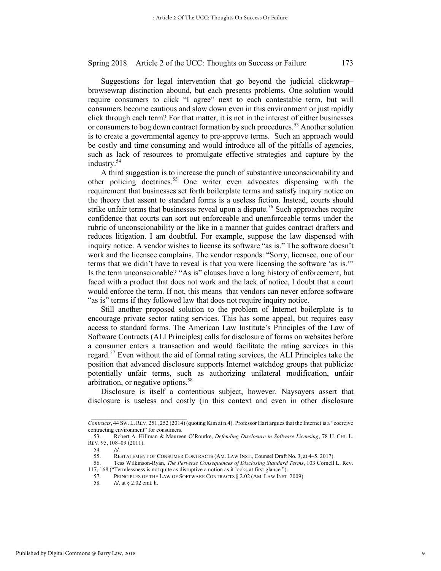Suggestions for legal intervention that go beyond the judicial clickwrap– browsewrap distinction abound, but each presents problems. One solution would require consumers to click "I agree" next to each contestable term, but will consumers become cautious and slow down even in this environment or just rapidly click through each term? For that matter, it is not in the interest of either businesses or consumers to bog down contract formation by such procedures.<sup>53</sup> Another solution is to create a governmental agency to pre-approve terms. Such an approach would be costly and time consuming and would introduce all of the pitfalls of agencies, such as lack of resources to promulgate effective strategies and capture by the industry.<sup>54</sup>

A third suggestion is to increase the punch of substantive unconscionability and other policing doctrines.55 One writer even advocates dispensing with the requirement that businesses set forth boilerplate terms and satisfy inquiry notice on the theory that assent to standard forms is a useless fiction. Instead, courts should strike unfair terms that businesses reveal upon a dispute.<sup>56</sup> Such approaches require confidence that courts can sort out enforceable and unenforceable terms under the rubric of unconscionability or the like in a manner that guides contract drafters and reduces litigation. I am doubtful. For example, suppose the law dispensed with inquiry notice. A vendor wishes to license its software "as is." The software doesn't work and the licensee complains. The vendor responds: "Sorry, licensee, one of our terms that we didn't have to reveal is that you were licensing the software 'as is.'" Is the term unconscionable? "As is" clauses have a long history of enforcement, but faced with a product that does not work and the lack of notice, I doubt that a court would enforce the term. If not, this means that vendors can never enforce software "as is" terms if they followed law that does not require inquiry notice.

Still another proposed solution to the problem of Internet boilerplate is to encourage private sector rating services. This has some appeal, but requires easy access to standard forms. The American Law Institute's Principles of the Law of Software Contracts (ALI Principles) calls for disclosure of forms on websites before a consumer enters a transaction and would facilitate the rating services in this regard.<sup>57</sup> Even without the aid of formal rating services, the ALI Principles take the position that advanced disclosure supports Internet watchdog groups that publicize potentially unfair terms, such as authorizing unilateral modification, unfair arbitration, or negative options. 58

Disclosure is itself a contentious subject, however. Naysayers assert that disclosure is useless and costly (in this context and even in other disclosure

56. Tess Wilkinson-Ryan, *The Perverse Consequences of Disclosing Standard Terms*, 103 Cornell L. Rev. 117, 168 ("Termlessness is not quite as disruptive a notion as it looks at first glance.").<br>57. PRINCIPLES OF THE LAW OF SOFTWARE CONTRACTS § 2.02 (AM. LAW INST.

*Contracts*, 44 SW. L. REV. 251, 252 (2014) (quoting Kim at n.4). Professor Hart argues that the Internet is a "coercive contracting environment" for consumers.

<sup>53.</sup> Robert A. Hillman & Maureen O'Rourke, *Defending Disclosure in Software Licensing*, 78 U. CHI. L. REV. 95, 108–09 (2011).

<sup>54</sup>*. Id.* 

<sup>55.</sup> RESTATEMENT OF CONSUMER CONTRACTS (AM. LAW INST., Counsel Draft No. 3, at 4–5, 2017).

<sup>57.</sup> PRINCIPLES OF THE LAW OF SOFTWARE CONTRACTS  $\S 2.02$  (AM. LAW INST. 2009).<br>58 Id at  $\S 2.02$  cmt h

*Id.* at § 2.02 cmt. h.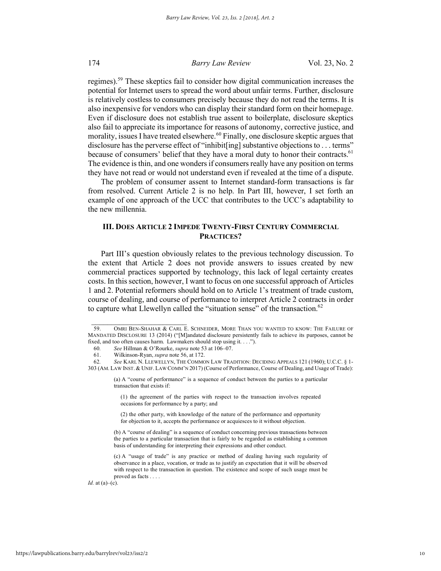regimes).<sup>59</sup> These skeptics fail to consider how digital communication increases the potential for Internet users to spread the word about unfair terms. Further, disclosure is relatively costless to consumers precisely because they do not read the terms. It is also inexpensive for vendors who can display their standard form on their homepage. Even if disclosure does not establish true assent to boilerplate, disclosure skeptics also fail to appreciate its importance for reasons of autonomy, corrective justice, and morality, issues I have treated elsewhere.<sup>60</sup> Finally, one disclosure skeptic argues that disclosure has the perverse effect of "inhibit[ing] substantive objections to . . . terms" because of consumers' belief that they have a moral duty to honor their contracts.<sup>61</sup> The evidence is thin, and one wonders if consumers really have any position on terms they have not read or would not understand even if revealed at the time of a dispute.

The problem of consumer assent to Internet standard-form transactions is far from resolved. Current Article 2 is no help. In Part III, however, I set forth an example of one approach of the UCC that contributes to the UCC's adaptability to the new millennia.

### **III. DOES ARTICLE 2 IMPEDE TWENTY-FIRST CENTURY COMMERCIAL PRACTICES?**

Part III's question obviously relates to the previous technology discussion. To the extent that Article 2 does not provide answers to issues created by new commercial practices supported by technology, this lack of legal certainty creates costs. In this section, however, I want to focus on one successful approach of Articles 1 and 2. Potential reformers should hold on to Article 1's treatment of trade custom, course of dealing, and course of performance to interpret Article 2 contracts in order to capture what Llewellyn called the "situation sense" of the transaction.<sup>62</sup>

 $\frac{1}{2}$  ,  $\frac{1}{2}$  ,  $\frac{1}{2}$  ,  $\frac{1}{2}$  ,  $\frac{1}{2}$  ,  $\frac{1}{2}$  ,  $\frac{1}{2}$  ,  $\frac{1}{2}$  ,  $\frac{1}{2}$  ,  $\frac{1}{2}$  ,  $\frac{1}{2}$  ,  $\frac{1}{2}$  ,  $\frac{1}{2}$  ,  $\frac{1}{2}$  ,  $\frac{1}{2}$  ,  $\frac{1}{2}$  ,  $\frac{1}{2}$  ,  $\frac{1}{2}$  ,  $\frac{1$ 

*Id.* at  $(a)$ – $(c)$ .

<sup>59.</sup> OMRI BEN-SHAHAR & CARL E. SCHNEIDER, MORE THAN YOU WANTED TO KNOW: THE FAILURE OF MANDATED DISCLOSURE 13 (2014) ("[M]andated disclosure persistently fails to achieve its purposes, cannot be fixed, and too often causes harm. Lawmakers should stop using it. . . .").

<sup>60</sup>*. See* Hillman & O'Rourke, *supra* note 53 at 106–07.

<sup>61.</sup> Wilkinson-Ryan, *supra* note 56, at 172.

<sup>62</sup>*. See* KARL N. LLEWELLYN, THE COMMON LAW TRADITION: DECIDING APPEALS 121 (1960); U.C.C. § 1- 303 (AM. LAW INST.& UNIF. LAW COMM'N 2017) (Course of Performance, Course of Dealing, and Usage of Trade):

<sup>(</sup>a) A "course of performance" is a sequence of conduct between the parties to a particular transaction that exists if:

<sup>(1)</sup> the agreement of the parties with respect to the transaction involves repeated occasions for performance by a party; and

<sup>(2)</sup> the other party, with knowledge of the nature of the performance and opportunity for objection to it, accepts the performance or acquiesces to it without objection.

<sup>(</sup>b) A "course of dealing" is a sequence of conduct concerning previous transactions between the parties to a particular transaction that is fairly to be regarded as establishing a common basis of understanding for interpreting their expressions and other conduct.

<sup>(</sup>c) A "usage of trade" is any practice or method of dealing having such regularity of observance in a place, vocation, or trade as to justify an expectation that it will be observed with respect to the transaction in question. The existence and scope of such usage must be proved as facts . . . .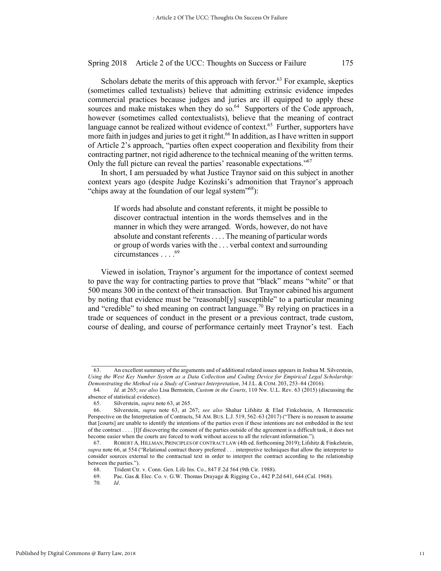Scholars debate the merits of this approach with fervor.<sup>63</sup> For example, skeptics (sometimes called textualists) believe that admitting extrinsic evidence impedes commercial practices because judges and juries are ill equipped to apply these sources and make mistakes when they do so. $^{64}$  Supporters of the Code approach, however (sometimes called contextualists), believe that the meaning of contract language cannot be realized without evidence of context.<sup>65</sup> Further, supporters have more faith in judges and juries to get it right.<sup>66</sup> In addition, as I have written in support of Article 2's approach, "parties often expect cooperation and flexibility from their contracting partner, not rigid adherence to the technical meaning of the written terms. Only the full picture can reveal the parties' reasonable expectations."67

In short, I am persuaded by what Justice Traynor said on this subject in another context years ago (despite Judge Kozinski's admonition that Traynor's approach "chips away at the foundation of our legal system"<sup>68</sup>):

If words had absolute and constant referents, it might be possible to discover contractual intention in the words themselves and in the manner in which they were arranged. Words, however, do not have absolute and constant referents . . . . The meaning of particular words or group of words varies with the . . . verbal context and surrounding circumstances . . . . <sup>69</sup>

Viewed in isolation, Traynor's argument for the importance of context seemed to pave the way for contracting parties to prove that "black" means "white" or that 500 means 300 in the context of their transaction. But Traynor cabined his argument by noting that evidence must be "reasonabl[y] susceptible" to a particular meaning and "credible" to shed meaning on contract language.<sup>70</sup> By relying on practices in a trade or sequences of conduct in the present or a previous contract, trade custom, course of dealing, and course of performance certainly meet Traynor's test. Each

<sup>63.</sup> An excellent summary of the arguments and of additional related issues appears in Joshua M. Silverstein, *Using the West Key Number System as a Data Collection and Coding Device for Empirical Legal Scholarship: Demonstrating the Method via a Study of Contract Interpretation*, 34 J.L. & COM. 203, 253–84 (2016).

<sup>64</sup>*. Id.* at 265; *see also* Lisa Bernstein, *Custom in the Courts*, 110 Nw. U.L. Rev. 63 (2015) (discussing the absence of statistical evidence).<br>65. Silverstein, *supra* no

<sup>65.</sup> Silverstein, *supra* note 63, at 265.

<sup>66.</sup> Silverstein, *supra* note 63, at 267; *see also* Shahar Lifshitz & Elad Finkelstein, A Hermeneutic Perspective on the Interpretation of Contracts, 54 AM. BUS. L.J. 519, 562–63 (2017) ("There is no reason to assume that [courts] are unable to identify the intentions of the parties even if these intentions are not embedded in the text of the contract . . . . [I]f discovering the consent of the parties outside of the agreement is a difficult task, it does not become easier when the courts are forced to work without access to all the relevant information.").

<sup>67.</sup> ROBERT A.HILLMAN, PRINCIPLES OF CONTRACT LAW (4th ed. forthcoming 2019); Lifshitz & Finkelstein, *supra* note 66, at 554 ("Relational contract theory preferred . . . interpretive techniques that allow the interpreter to consider sources external to the contractual text in order to interpret the contract according to the relationship between the parties.").

<sup>68.</sup> Trident Ctr. v. Conn. Gen. Life Ins. Co., 847 F.2d 564 (9th Cir. 1988).<br>69. Pac. Gas & Elec. Co. v. G.W. Thomas Drayage & Rigging Co., 442 P.

Pac. Gas & Elec. Co. v. G.W. Thomas Drayage & Rigging Co., 442 P.2d 641, 644 (Cal. 1968).

<sup>70</sup>*. Id*.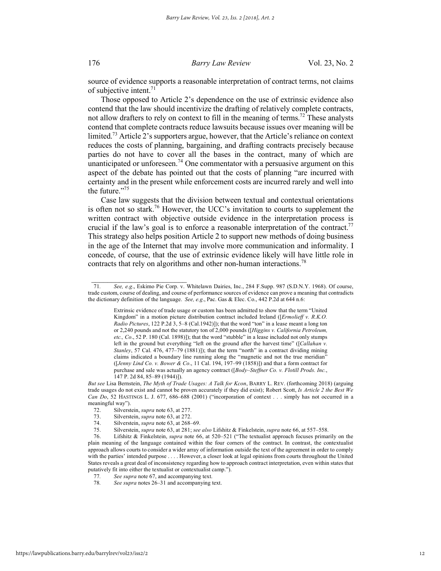source of evidence supports a reasonable interpretation of contract terms, not claims of subjective intent.<sup>71</sup>

Those opposed to Article 2's dependence on the use of extrinsic evidence also contend that the law should incentivize the drafting of relatively complete contracts, not allow drafters to rely on context to fill in the meaning of terms.<sup>72</sup> These analysts contend that complete contracts reduce lawsuits because issues over meaning will be limited.<sup>73</sup> Article 2's supporters argue, however, that the Article's reliance on context reduces the costs of planning, bargaining, and drafting contracts precisely because parties do not have to cover all the bases in the contract, many of which are unanticipated or unforeseen.<sup>74</sup> One commentator with a persuasive argument on this aspect of the debate has pointed out that the costs of planning "are incurred with certainty and in the present while enforcement costs are incurred rarely and well into the future."<sup>75</sup>

Case law suggests that the division between textual and contextual orientations is often not so stark.76 However, the UCC's invitation to courts to supplement the written contract with objective outside evidence in the interpretation process is crucial if the law's goal is to enforce a reasonable interpretation of the contract.<sup>77</sup> This strategy also helps position Article 2 to support new methods of doing business in the age of the Internet that may involve more communication and informality. I concede, of course, that the use of extrinsic evidence likely will have little role in contracts that rely on algorithms and other non-human interactions.<sup>78</sup>

<sup>71</sup>*. See, e.g*., Eskimo Pie Corp. v. Whitelawn Dairies, Inc., 284 F.Supp. 987 (S.D.N.Y. 1968). Of course, trade custom, course of dealing, and course of performance sources of evidence can prove a meaning that contradicts the dictionary definition of the language. *See, e.g*., Pac. Gas & Elec. Co., 442 P.2d at 644 n.6:

Extrinsic evidence of trade usage or custom has been admitted to show that the term "United Kingdom" in a motion picture distribution contract included Ireland ([*Ermolieff v. R.K.O. Radio Pictures*, 122 P.2d 3, 5–8 (Cal.1942)]); that the word "ton" in a lease meant a long ton or 2,240 pounds and not the statutory ton of 2,000 pounds ([*Higgins v. California Petroleum, etc., Co*., 52 P. 180 (Cal. 1898)]); that the word "stubble" in a lease included not only stumps left in the ground but everything "left on the ground after the harvest time" ([*Callahan v. Stanley*, 57 Cal. 476, 477–79 (1881)]); that the term "north" in a contract dividing mining claims indicated a boundary line running along the "magnetic and not the true meridian" ([*Jenny Lind Co. v. Bower & Co*., 11 Cal. 194, 197–99 (1858)]) and that a form contract for purchase and sale was actually an agency contract ([*Body–Steffner Co. v. Flotill Prods. Inc.*, 147 P. 2d 84, 85–89 (1944)]).

*But see* Lisa Bernstein, *The Myth of Trade Usages: A Talk for Kcon*, BARRY L. REV. (forthcoming 2018) (arguing trade usages do not exist and cannot be proven accurately if they did exist); Robert Scott, *Is Article 2 the Best We Can Do*, 52 HASTINGS L. J. 677, 686–688 (2001) ("incorporation of context . . . simply has not occurred in a meaningful way").

<sup>72.</sup> Silverstein, *supra* note 63, at 277.

<sup>73.</sup> Silverstein, *supra* note 63, at 272.

<sup>74.</sup> Silverstein, *supra* note 63, at 268–69.

<sup>75.</sup> Silverstein, *supra* note 63, at 281; *see also* Lifshitz & Finkelstein, *supra* note 66, at 557–558.

<sup>76.</sup> Lifshitz & Finkelstein, *supra* note 66, at 520–521 ("The textualist approach focuses primarily on the plain meaning of the language contained within the four corners of the contract. In contrast, the contextualist approach allows courts to consider a wider array of information outside the text of the agreement in order to comply with the parties' intended purpose . . . . However, a closer look at legal opinions from courts throughout the United States reveals a great deal of inconsistency regarding how to approach contract interpretation, even within states that putatively fit into either the textualist or contextualist camp.").<br>77. See supra note 67, and accompanying text.

<sup>77</sup>*. See supra* note 67, and accompanying text.

See *supra* notes 26–31 and accompanying text.